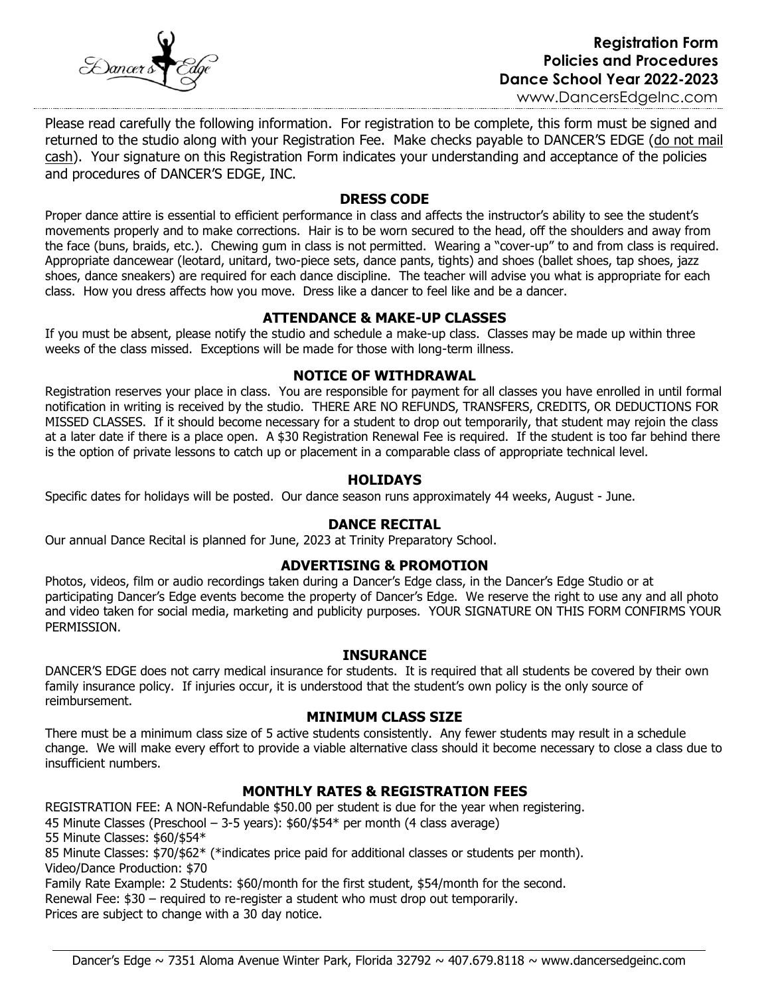

.,

[www.DancersEdgeInc.com](http://www.dancersedgeinc.com/)

Please read carefully the following information. For registration to be complete, this form must be signed and returned to the studio along with your Registration Fee. Make checks payable to DANCER'S EDGE (do not mail cash). Your signature on this Registration Form indicates your understanding and acceptance of the policies and procedures of DANCER'S EDGE, INC.

### **DRESS CODE**

Proper dance attire is essential to efficient performance in class and affects the instructor's ability to see the student's movements properly and to make corrections. Hair is to be worn secured to the head, off the shoulders and away from the face (buns, braids, etc.). Chewing gum in class is not permitted. Wearing a "cover-up" to and from class is required. Appropriate dancewear (leotard, unitard, two-piece sets, dance pants, tights) and shoes (ballet shoes, tap shoes, jazz shoes, dance sneakers) are required for each dance discipline. The teacher will advise you what is appropriate for each class. How you dress affects how you move. Dress like a dancer to feel like and be a dancer.

# **ATTENDANCE & MAKE-UP CLASSES**

If you must be absent, please notify the studio and schedule a make-up class. Classes may be made up within three weeks of the class missed. Exceptions will be made for those with long-term illness.

# **NOTICE OF WITHDRAWAL**

Registration reserves your place in class. You are responsible for payment for all classes you have enrolled in until formal notification in writing is received by the studio. THERE ARE NO REFUNDS, TRANSFERS, CREDITS, OR DEDUCTIONS FOR MISSED CLASSES. If it should become necessary for a student to drop out temporarily, that student may rejoin the class at a later date if there is a place open. A \$30 Registration Renewal Fee is required. If the student is too far behind there is the option of private lessons to catch up or placement in a comparable class of appropriate technical level.

### **HOLIDAYS**

Specific dates for holidays will be posted. Our dance season runs approximately 44 weeks, August - June.

### **DANCE RECITAL**

Our annual Dance Recital is planned for June, 2023 at Trinity Preparatory School.

# **ADVERTISING & PROMOTION**

Photos, videos, film or audio recordings taken during a Dancer's Edge class, in the Dancer's Edge Studio or at participating Dancer's Edge events become the property of Dancer's Edge. We reserve the right to use any and all photo and video taken for social media, marketing and publicity purposes. YOUR SIGNATURE ON THIS FORM CONFIRMS YOUR PERMISSION.

### **INSURANCE**

DANCER'S EDGE does not carry medical insurance for students. It is required that all students be covered by their own family insurance policy. If injuries occur, it is understood that the student's own policy is the only source of reimbursement.

### **MINIMUM CLASS SIZE**

There must be a minimum class size of 5 active students consistently. Any fewer students may result in a schedule change. We will make every effort to provide a viable alternative class should it become necessary to close a class due to insufficient numbers.

# **MONTHLY RATES & REGISTRATION FEES**

REGISTRATION FEE: A NON-Refundable \$50.00 per student is due for the year when registering. 45 Minute Classes (Preschool – 3-5 years): \$60/\$54\* per month (4 class average) 55 Minute Classes: \$60/\$54\* 85 Minute Classes: \$70/\$62\* (\*indicates price paid for additional classes or students per month). Video/Dance Production: \$70 Family Rate Example: 2 Students: \$60/month for the first student, \$54/month for the second. Renewal Fee: \$30 – required to re-register a student who must drop out temporarily.

Prices are subject to change with a 30 day notice.